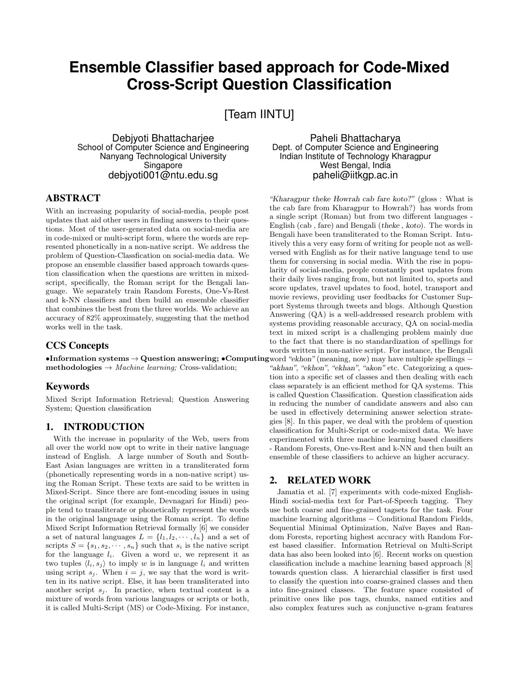# **Ensemble Classifier based approach for Code-Mixed Cross-Script Question Classification**

[Team IINTU]

Debjyoti Bhattacharjee School of Computer Science and Engineering Nanyang Technological University Singapore debjyoti001@ntu.edu.sg

# ABSTRACT

With an increasing popularity of social-media, people post updates that aid other users in finding answers to their questions. Most of the user-generated data on social-media are in code-mixed or multi-script form, where the words are represented phonetically in a non-native script. We address the problem of Question-Classfication on social-media data. We propose an ensemble classifier based approach towards question classification when the questions are written in mixedscript, specifically, the Roman script for the Bengali language. We separately train Random Forests, One-Vs-Rest and k-NN classifiers and then build an ensemble classifier that combines the best from the three worlds. We achieve an accuracy of 82% approximately, suggesting that the method works well in the task.

## CCS Concepts

•Information systems  $\rightarrow$  Question answering; •Computingword "ekhon" (meaning, now) may have multiple spellings – methodologies  $\rightarrow$  *Machine learning*; Cross-validation;

## Keywords

Mixed Script Information Retrieval; Question Answering System; Question classification

# 1. INTRODUCTION

With the increase in popularity of the Web, users from all over the world now opt to write in their native language instead of English. A large number of South and South-East Asian languages are written in a transliterated form (phonetically representing words in a non-native script) using the Roman Script. These texts are said to be written in Mixed-Script. Since there are font-encoding issues in using the original script (for example, Devnagari for Hindi) people tend to transliterate or phonetically represent the words in the original language using the Roman script. To define Mixed Script Information Retrieval formally [6] we consider a set of natural languages  $L = \{l_1, l_2, \dots, l_n\}$  and a set of scripts  $S = \{s_1, s_2, \dots, s_n\}$  such that  $s_i$  is the native script for the language  $l_i$ . Given a word w, we represent it as two tuples  $\langle l_i, s_j \rangle$  to imply w is in language  $l_i$  and written using script  $s_i$ . When  $i = j$ , we say that the word is written in its native script. Else, it has been transliterated into another script  $s_j$ . In practice, when textual content is a mixture of words from various languages or scripts or both, it is called Multi-Script (MS) or Code-Mixing. For instance,

Paheli Bhattacharya Dept. of Computer Science and Engineering Indian Institute of Technology Kharagpur West Bengal, India paheli@iitkgp.ac.in

"Kharagpur theke Howrah cab fare koto?" (gloss : What is the cab fare from Kharagpur to Howrah?) has words from a single script (Roman) but from two different languages - English (cab , fare) and Bengali (theke , koto). The words in Bengali have been transliterated to the Roman Script. Intuitively this a very easy form of writing for people not as wellversed with English as for their native language tend to use them for conversing in social media. With the rise in popularity of social-media, people constantly post updates from their daily lives ranging from, but not limited to, sports and score updates, travel updates to food, hotel, transport and movie reviews, providing user feedbacks for Customer Support Systems through tweets and blogs. Although Question Answering (QA) is a well-addressed research problem with systems providing reasonable accuracy, QA on social-media text in mixed script is a challenging problem mainly due to the fact that there is no standardization of spellings for words written in non-native script. For instance, the Bengali

"akhan", "ekhon", "ekhan", "akon" etc. Categorizing a question into a specific set of classes and then dealing with each class separately is an efficient method for QA systems. This is called Question Classification. Question classification aids in reducing the number of candidate answers and also can be used in effectively determining answer selection strategies [8]. In this paper, we deal with the problem of question classification for Multi-Script or code-mixed data. We have experimented with three machine learning based classifiers - Random Forests, One-vs-Rest and k-NN and then built an ensemble of these classifiers to achieve an higher accuracy.

## 2. RELATED WORK

Jamatia et al. [7] experiments with code-mixed English-Hindi social-media text for Part-of-Speech tagging. They use both coarse and fine-grained tagsets for the task. Four machine learning algorithms − Conditional Random Fields, Sequential Minimal Optimization, Naïve Bayes and Random Forests, reporting highest accuracy with Random Forest based classifier. Information Retrieval on Multi-Script data has also been looked into [6]. Recent works on question classification include a machine learning based approach [8] towards question class. A hierarchial classifier is first used to classify the question into coarse-grained classes and then into fine-grained classes. The feature space consisted of primitive ones like pos tags, chunks, named entities and also complex features such as conjunctive n-gram features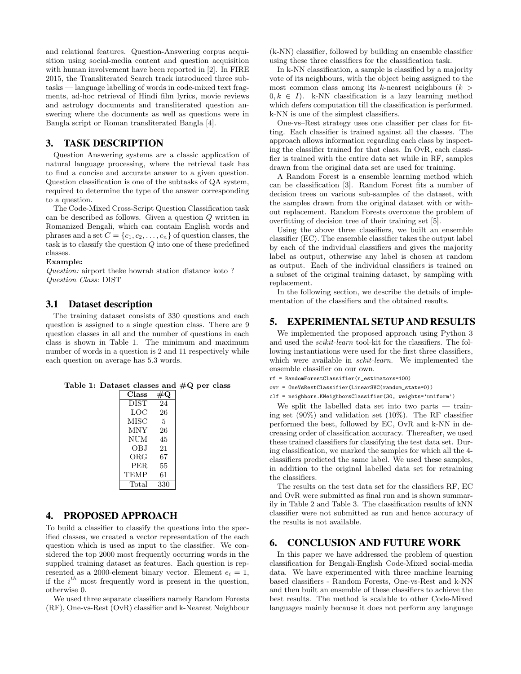and relational features. Question-Answering corpus acquisition using social-media content and question acquisition with human involvement have been reported in [2]. In FIRE 2015, the Transliterated Search track introduced three subtasks — language labelling of words in code-mixed text fragments, ad-hoc retrieval of Hindi film lyrics, movie reviews and astrology documents and transliterated question answering where the documents as well as questions were in Bangla script or Roman transliterated Bangla [4].

## 3. TASK DESCRIPTION

Question Answering systems are a classic application of natural language processing, where the retrieval task has to find a concise and accurate answer to a given question. Question classification is one of the subtasks of QA system, required to determine the type of the answer corresponding to a question.

The Code-Mixed Cross-Script Question Classification task can be described as follows. Given a question Q written in Romanized Bengali, which can contain English words and phrases and a set  $C = \{c_1, c_2, \ldots, c_n\}$  of question classes, the task is to classify the question Q into one of these predefined classes.

#### Example:

Question: airport theke howrah station distance koto ? Question Class: DIST

### 3.1 Dataset description

The training dataset consists of 330 questions and each question is assigned to a single question class. There are 9 question classes in all and the number of questions in each class is shown in Table 1. The minimum and maximum number of words in a question is 2 and 11 respectively while each question on average has 5.3 words.

| Table 1: Dataset classes and $\#Q$ per class |  |  |  |  |  |  |
|----------------------------------------------|--|--|--|--|--|--|
|----------------------------------------------|--|--|--|--|--|--|

| Class       |     |
|-------------|-----|
| <b>DIST</b> | 24  |
| LOC         | 26  |
| MISC        | 5   |
| MNY         | 26  |
| NUM         | 45  |
| OBJ         | 21  |
| ORG         | 67  |
| PER.        | 55  |
| TEMP        | 61  |
| Total       | 330 |

## 4. PROPOSED APPROACH

To build a classifier to classify the questions into the specified classes, we created a vector representation of the each question which is used as input to the classifier. We considered the top 2000 most frequently occurring words in the supplied training dataset as features. Each question is represented as a 2000-element binary vector. Element  $e_i = 1$ , if the  $i^{th}$  most frequently word is present in the question, otherwise 0.

We used three separate classifiers namely Random Forests (RF), One-vs-Rest (OvR) classifier and k-Nearest Neighbour (k-NN) classifier, followed by building an ensemble classifier using these three classifiers for the classification task.

In k-NN classification, a sample is classified by a majority vote of its neighbours, with the object being assigned to the most common class among its k-nearest neighbours  $(k >$  $0, k \in I$ ). k-NN classification is a lazy learning method which defers computation till the classification is performed. k-NN is one of the simplest classifiers.

One-vs–Rest strategy uses one classifier per class for fitting. Each classifier is trained against all the classes. The approach allows information regarding each class by inspecting the classifier trained for that class. In OvR, each classifier is trained with the entire data set while in RF, samples drawn from the original data set are used for training.

A Random Forest is a ensemble learning method which can be classification [3]. Random Forest fits a number of decision trees on various sub-samples of the dataset, with the samples drawn from the original dataset with or without replacement. Random Forests overcome the problem of overfitting of decision tree of their training set [5].

Using the above three classifiers, we built an ensemble classifier (EC). The ensemble classifier takes the output label by each of the individual classifiers and gives the majority label as output, otherwise any label is chosen at random as output. Each of the individual classifiers is trained on a subset of the original training dataset, by sampling with replacement.

In the following section, we describe the details of implementation of the classifiers and the obtained results.

# 5. EXPERIMENTAL SETUP AND RESULTS

We implemented the proposed approach using Python 3 and used the scikit-learn tool-kit for the classifiers. The following instantiations were used for the first three classifiers, which were available in sckit-learn. We implemented the ensemble classifier on our own.

rf = RandomForestClassifier(n\_estimators=100)

```
ovr = OneVsRestClassifier(LinearSVC(random_state=0))
```

```
clf = neighbors.KNeighborsClassifier(30, weights='uniform')
```
We split the labelled data set into two parts — training set (90%) and validation set (10%). The RF classifier performed the best, followed by EC, OvR and k-NN in decreasing order of classification accuracy. Thereafter, we used these trained classifiers for classifying the test data set. During classification, we marked the samples for which all the 4 classifiers predicted the same label. We used these samples, in addition to the original labelled data set for retraining the classifiers.

The results on the test data set for the classifiers RF, EC and OvR were submitted as final run and is shown summarily in Table 2 and Table 3. The classification results of kNN classifier were not submitted as run and hence accuracy of the results is not available.

# 6. CONCLUSION AND FUTURE WORK

In this paper we have addressed the problem of question classification for Bengali-English Code-Mixed social-media data. We have experimented with three machine learning based classifiers - Random Forests, One-vs-Rest and k-NN and then built an ensemble of these classifiers to achieve the best results. The method is scalable to other Code-Mixed languages mainly because it does not perform any language